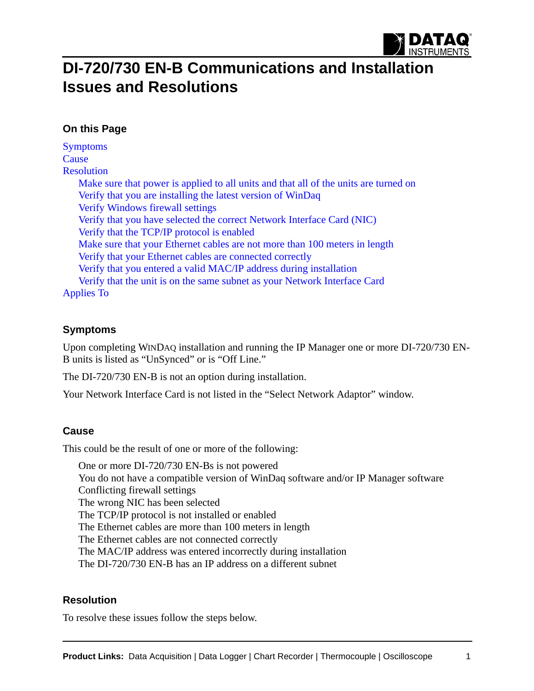

# **DI-720/730 EN-B Communications and Installation Issues and Resolutions**

## **On this Page**

**[Symptoms](#page-0-0) [Cause](#page-0-1) [Resolution](#page-0-2)** [Make sure that power is applied to all units and that all of the units are turned on](#page-1-0) [Verify that you are installing the latest version of WinDaq](#page-1-1) [Verify Windows firewall settings](#page-1-2) [Verify that you have selected the correct Network Interface Card \(NIC\)](#page-2-0) [Verify that the TCP/IP protocol is enabled](#page-2-1) [Make sure that your Ethernet cables are not more than 100 meters in length](#page-4-0) [Verify that your Ethernet cables are connected correctly](#page-4-1) [Verify that you entered a valid MAC/IP address during installation](#page-5-0) [Verify that the unit is on the same subnet as your Network Interface Card](#page-5-1) [Applies To](#page-6-0)

### <span id="page-0-0"></span>**Symptoms**

Upon completing WINDAQ installation and running the IP Manager one or more DI-720/730 EN-B units is listed as "UnSynced" or is "Off Line."

The DI-720/730 EN-B is not an option during installation.

Your Network Interface Card is not listed in the "Select Network Adaptor" window.

## <span id="page-0-1"></span>**Cause**

This could be the result of one or more of the following:

One or more DI-720/730 EN-Bs is not powered You do not have a compatible version of WinDaq software and/or IP Manager software Conflicting firewall settings The wrong NIC has been selected The TCP/IP protocol is not installed or enabled The Ethernet cables are more than 100 meters in length The Ethernet cables are not connected correctly The MAC/IP address was entered incorrectly during installation The DI-720/730 EN-B has an IP address on a different subnet

## <span id="page-0-2"></span>**Resolution**

To resolve these issues follow the steps below.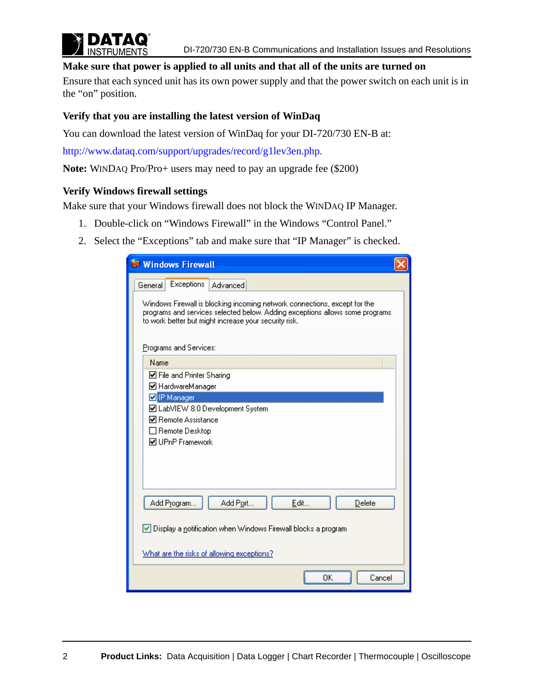

#### <span id="page-1-0"></span>**Make sure that power is applied to all units and that all of the units are turned on**

Ensure that each synced unit has its own power supply and that the power switch on each unit is in the "on" position.

#### <span id="page-1-1"></span>**Verify that you are installing the latest version of WinDaq**

You can download the latest version of WinDaq for your DI-720/730 EN-B at:

http://www.dataq.com/support/upgrades/record/g1lev3en.php.

**Note:** WINDAQ Pro/Pro+ users may need to pay an upgrade fee (\$200)

#### <span id="page-1-2"></span>**Verify Windows firewall settings**

Make sure that your Windows firewall does not block the WINDAQ IP Manager.

- 1. Double-click on "Windows Firewall" in the Windows "Control Panel."
- 2. Select the "Exceptions" tab and make sure that "IP Manager" is checked.

| <b>Windows Firewall</b>                                                                                                                                                                                            |  |  |  |  |
|--------------------------------------------------------------------------------------------------------------------------------------------------------------------------------------------------------------------|--|--|--|--|
| Exceptions<br>Advanced<br>General                                                                                                                                                                                  |  |  |  |  |
| Windows Firewall is blocking incoming network connections, except for the<br>programs and services selected below. Adding exceptions allows some programs<br>to work better but might increase your security risk. |  |  |  |  |
| Programs and Services:                                                                                                                                                                                             |  |  |  |  |
| Name                                                                                                                                                                                                               |  |  |  |  |
| ☑ File and Printer Sharing<br>■ HardwareManager                                                                                                                                                                    |  |  |  |  |
| <b>D</b> IP Manager                                                                                                                                                                                                |  |  |  |  |
| ■ LabVIEW 8.0 Development System                                                                                                                                                                                   |  |  |  |  |
| <b>☑</b> Remote Assistance                                                                                                                                                                                         |  |  |  |  |
| $\Box$ Remote Desktop<br><b>☑</b> UPnP Framework                                                                                                                                                                   |  |  |  |  |
|                                                                                                                                                                                                                    |  |  |  |  |
| Add Program<br>Add Port<br>Edit<br>Delete                                                                                                                                                                          |  |  |  |  |
| $\vee$ Display a notification when Windows Firewall blocks a program                                                                                                                                               |  |  |  |  |
| What are the risks of allowing exceptions?                                                                                                                                                                         |  |  |  |  |
| OK<br>Cancel                                                                                                                                                                                                       |  |  |  |  |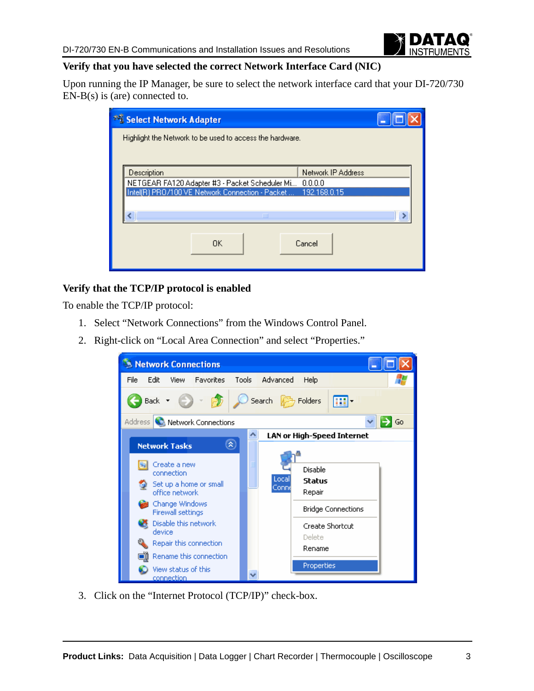

## <span id="page-2-0"></span>**Verify that you have selected the correct Network Interface Card (NIC)**

Upon running the IP Manager, be sure to select the network interface card that your DI-720/730 EN-B(s) is (are) connected to.

| <sup>12</sup> Select Network Adapter                                                                                         |    |  |        |  |  |
|------------------------------------------------------------------------------------------------------------------------------|----|--|--------|--|--|
| Highlight the Network to be used to access the hardware.                                                                     |    |  |        |  |  |
|                                                                                                                              |    |  |        |  |  |
| Description<br>Network IP Address                                                                                            |    |  |        |  |  |
| NETGEAR FA120 Adapter #3 - Packet Scheduler Mi<br>0.0.0.0<br>Intel(R) PRO/100 VE Network Connection - Packet<br>192.168.0.15 |    |  |        |  |  |
|                                                                                                                              |    |  |        |  |  |
|                                                                                                                              | Ш  |  |        |  |  |
|                                                                                                                              |    |  |        |  |  |
|                                                                                                                              | 0K |  | Cancel |  |  |
|                                                                                                                              |    |  |        |  |  |

## <span id="page-2-1"></span>**Verify that the TCP/IP protocol is enabled**

To enable the TCP/IP protocol:

- 1. Select "Network Connections" from the Windows Control Panel.
- 2. Right-click on "Local Area Connection" and select "Properties."



3. Click on the "Internet Protocol (TCP/IP)" check-box.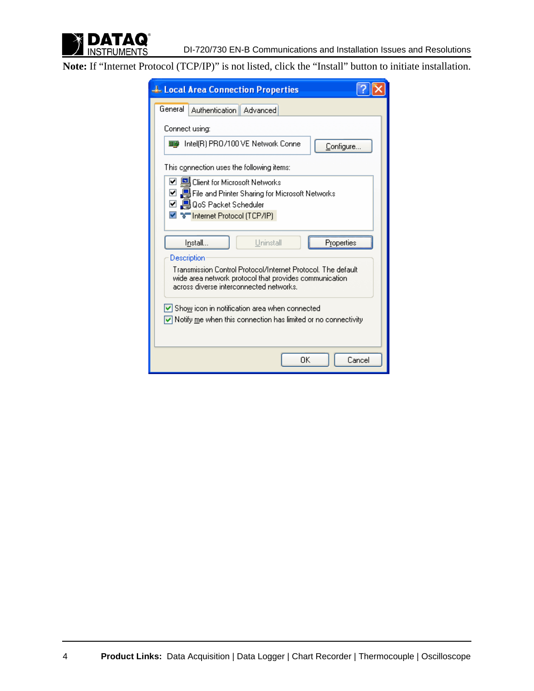

**Note:** If "Internet Protocol (TCP/IP)" is not listed, click the "Install" button to initiate installation.

| <b>L.</b> Local Area Connection Properties                                                                                                                                  |  |  |  |  |
|-----------------------------------------------------------------------------------------------------------------------------------------------------------------------------|--|--|--|--|
| General<br>Authentication Advanced                                                                                                                                          |  |  |  |  |
| Connect using:                                                                                                                                                              |  |  |  |  |
| ■■ Intel(R) PRO/100 VE Network Conne<br>Configure                                                                                                                           |  |  |  |  |
| This connection uses the following items:                                                                                                                                   |  |  |  |  |
| ☑ 및 Client for Microsoft Networks<br>☑ ■ File and Printer Sharing for Microsoft Networks<br>☑ 및 QoS Packet Scheduler<br>⊠ %™ Internet Protocol (TCP/IP)                     |  |  |  |  |
| Uninstall<br>Install<br>Properties<br>Description<br>Transmission Control Protocol/Internet Protocol. The default<br>wide area network protocol that provides communication |  |  |  |  |
| across diverse interconnected networks.                                                                                                                                     |  |  |  |  |
| $\vee$ Show icon in notification area when connected<br>$\vee$ Notify me when this connection has limited or no connectivity                                                |  |  |  |  |
| ΩK<br>Cancel                                                                                                                                                                |  |  |  |  |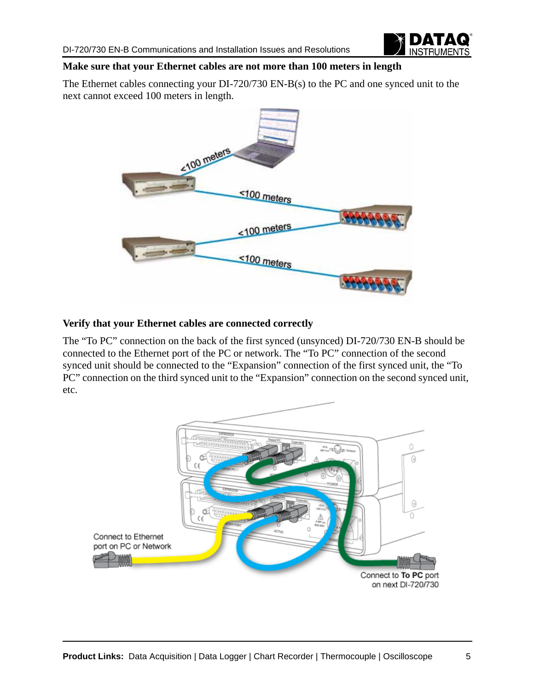

## <span id="page-4-0"></span>**Make sure that your Ethernet cables are not more than 100 meters in length**

The Ethernet cables connecting your DI-720/730 EN-B(s) to the PC and one synced unit to the next cannot exceed 100 meters in length.



## <span id="page-4-1"></span>**Verify that your Ethernet cables are connected correctly**

The "To PC" connection on the back of the first synced (unsynced) DI-720/730 EN-B should be connected to the Ethernet port of the PC or network. The "To PC" connection of the second synced unit should be connected to the "Expansion" connection of the first synced unit, the "To PC" connection on the third synced unit to the "Expansion" connection on the second synced unit, etc.

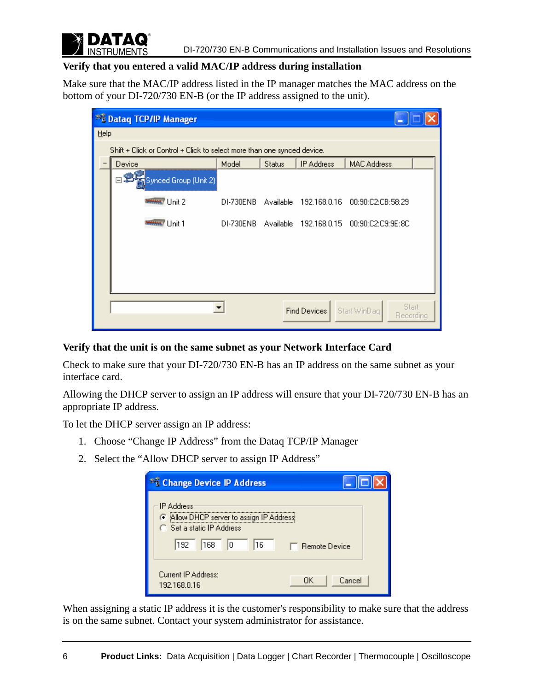

## <span id="page-5-0"></span>**Verify that you entered a valid MAC/IP address during installation**

Make sure that the MAC/IP address listed in the IP manager matches the MAC address on the bottom of your DI-720/730 EN-B (or the IP address assigned to the unit).

| * E Dataq TCP/IP Manager                                                |           |               |                     |                                    |  |
|-------------------------------------------------------------------------|-----------|---------------|---------------------|------------------------------------|--|
| Help                                                                    |           |               |                     |                                    |  |
| Shift + Click or Control + Click to select more than one synced device. |           |               |                     |                                    |  |
| Device                                                                  | Model     | <b>Status</b> | <b>IP Address</b>   | <b>MAC Address</b>                 |  |
| ⊟≌<br>Synced Group (Unit 2)                                             |           |               |                     |                                    |  |
| <b>MANA</b> Unit 2                                                      | DI-730ENB | Available     | 192.168.0.16        | 00:90:C2:CB:58:29                  |  |
| <b>MANA</b> Unit 1                                                      | DI-730ENB | Available     | 192.168.0.15        | 00:90:C2:C9:9E:8C                  |  |
|                                                                         |           |               |                     |                                    |  |
|                                                                         |           |               |                     |                                    |  |
|                                                                         |           |               |                     |                                    |  |
|                                                                         |           |               | <b>Find Devices</b> | Start<br>Start WinDag<br>Recording |  |
|                                                                         |           |               |                     |                                    |  |

## <span id="page-5-1"></span>**Verify that the unit is on the same subnet as your Network Interface Card**

Check to make sure that your DI-720/730 EN-B has an IP address on the same subnet as your interface card.

Allowing the DHCP server to assign an IP address will ensure that your DI-720/730 EN-B has an appropriate IP address.

To let the DHCP server assign an IP address:

- 1. Choose "Change IP Address" from the Dataq TCP/IP Manager
- 2. Select the "Allow DHCP server to assign IP Address"

| <sup>62</sup> Change Device IP Address                                                 |                            |        |
|----------------------------------------------------------------------------------------|----------------------------|--------|
| <b>IP Address</b><br>Allow DHCP server to assign IP Address<br>Set a static IP Address |                            |        |
| 168<br>192<br>۱ū                                                                       | 16<br><b>Remote Device</b> |        |
| Current IP Address:<br>192.168.0.16                                                    | OK.                        | Cancel |

When assigning a static IP address it is the customer's responsibility to make sure that the address is on the same subnet. Contact your system administrator for assistance.